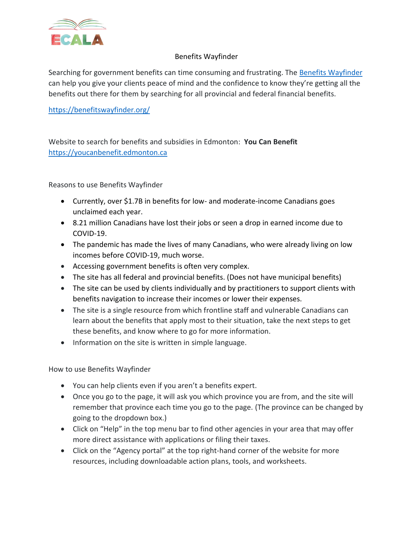

## Benefits Wayfinder

Searching for government benefits can time consuming and frustrating. The [Benefits Wayfinder](https://benefitswayfinder.org/) can help you give your clients peace of mind and the confidence to know they're getting all the benefits out there for them by searching for all provincial and federal financial benefits.

<https://benefitswayfinder.org/>

Website to search for benefits and subsidies in Edmonton: **You Can Benefit** [https://youcanbenefit.edmonton.ca](https://youcanbenefit.edmonton.ca/)

Reasons to use Benefits Wayfinder

- Currently, over \$1.7B in benefits for low- and moderate-income Canadians goes unclaimed each year.
- 8.21 million Canadians have lost their jobs or seen a drop in earned income due to COVID-19.
- The pandemic has made the lives of many Canadians, who were already living on low incomes before COVID-19, much worse.
- Accessing government benefits is often very complex.
- The site has all federal and provincial benefits. (Does not have municipal benefits)
- The site can be used by clients individually and by practitioners to support clients with benefits navigation to increase their incomes or lower their expenses.
- The site is a single resource from which frontline staff and vulnerable Canadians can learn about the benefits that apply most to their situation, take the next steps to get these benefits, and know where to go for more information.
- Information on the site is written in simple language.

How to use Benefits Wayfinder

- You can help clients even if you aren't a benefits expert.
- Once you go to the page, it will ask you which province you are from, and the site will remember that province each time you go to the page. (The province can be changed by going to the dropdown box.)
- Click on "Help" in the top menu bar to find other agencies in your area that may offer more direct assistance with applications or filing their taxes.
- Click on the "Agency portal" at the top right-hand corner of the website for more resources, including downloadable action plans, tools, and worksheets.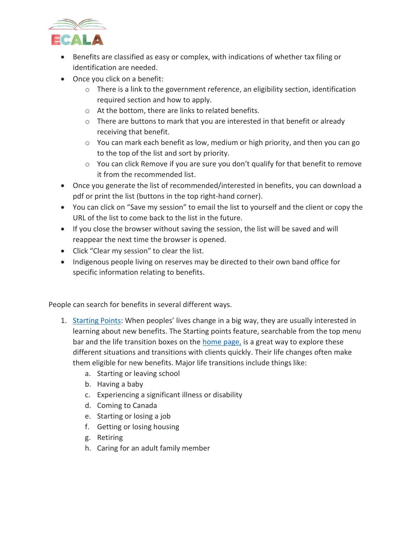

- Benefits are classified as easy or complex, with indications of whether tax filing or identification are needed.
- Once you click on a benefit:
	- $\circ$  There is a link to the government reference, an eligibility section, identification required section and how to apply.
	- o At the bottom, there are links to related benefits.
	- o There are buttons to mark that you are interested in that benefit or already receiving that benefit.
	- o You can mark each benefit as low, medium or high priority, and then you can go to the top of the list and sort by priority.
	- o You can click Remove if you are sure you don't qualify for that benefit to remove it from the recommended list.
- Once you generate the list of recommended/interested in benefits, you can download a pdf or print the list (buttons in the top right-hand corner).
- You can click on "Save my session" to email the list to yourself and the client or copy the URL of the list to come back to the list in the future.
- If you close the browser without saving the session, the list will be saved and will reappear the next time the browser is opened.
- Click "Clear my session" to clear the list.
- Indigenous people living on reserves may be directed to their own band office for specific information relating to benefits.

People can search for benefits in several different ways.

- 1. [Starting Points](https://benefitswayfinder.org/): When peoples' lives change in a big way, they are usually interested in learning about new benefits. The Starting points feature, searchable from the top menu bar and the life transition boxes on the [home page,](https://benefitswayfinder.org/) is a great way to explore these different situations and transitions with clients quickly. Their life changes often make them eligible for new benefits. Major life transitions include things like:
	- a. Starting or leaving school
	- b. Having a baby
	- c. Experiencing a significant illness or disability
	- d. Coming to Canada
	- e. Starting or losing a job
	- f. Getting or losing housing
	- g. Retiring
	- h. Caring for an adult family member